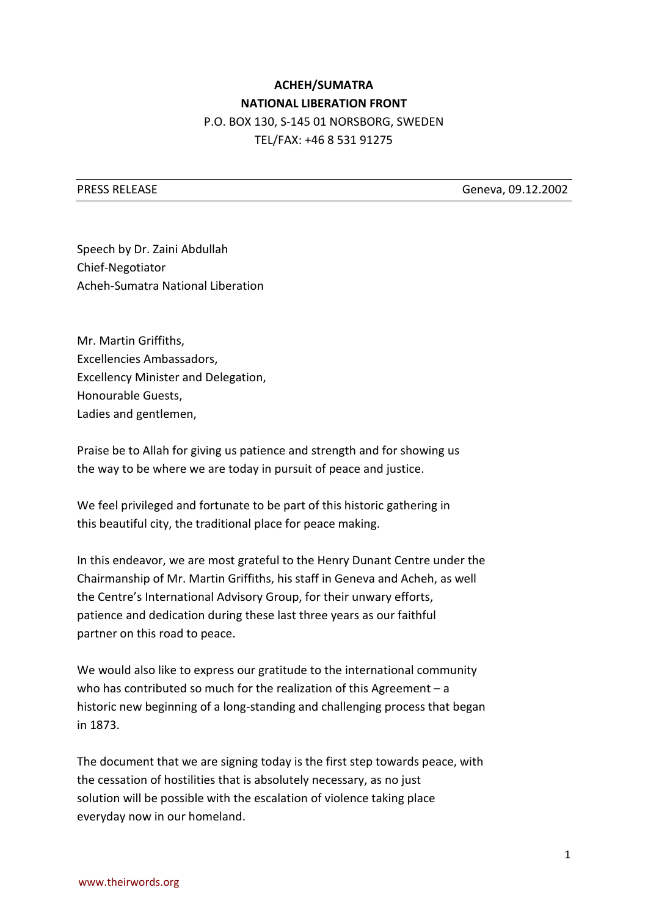## **ACHEH/SUMATRA NATIONAL LIBERATION FRONT** P.O. BOX 130, S-145 01 NORSBORG, SWEDEN TEL/FAX: +46 8 531 91275

PRESS RELEASE Geneva, 09.12.2002

Speech by Dr. Zaini Abdullah Chief-Negotiator Acheh-Sumatra National Liberation

Mr. Martin Griffiths, Excellencies Ambassadors, Excellency Minister and Delegation, Honourable Guests, Ladies and gentlemen,

Praise be to Allah for giving us patience and strength and for showing us the way to be where we are today in pursuit of peace and justice.

We feel privileged and fortunate to be part of this historic gathering in this beautiful city, the traditional place for peace making.

In this endeavor, we are most grateful to the Henry Dunant Centre under the Chairmanship of Mr. Martin Griffiths, his staff in Geneva and Acheh, as well the Centre's International Advisory Group, for their unwary efforts, patience and dedication during these last three years as our faithful partner on this road to peace.

We would also like to express our gratitude to the international community who has contributed so much for the realization of this Agreement – a historic new beginning of a long-standing and challenging process that began in 1873.

The document that we are signing today is the first step towards peace, with the cessation of hostilities that is absolutely necessary, as no just solution will be possible with the escalation of violence taking place everyday now in our homeland.